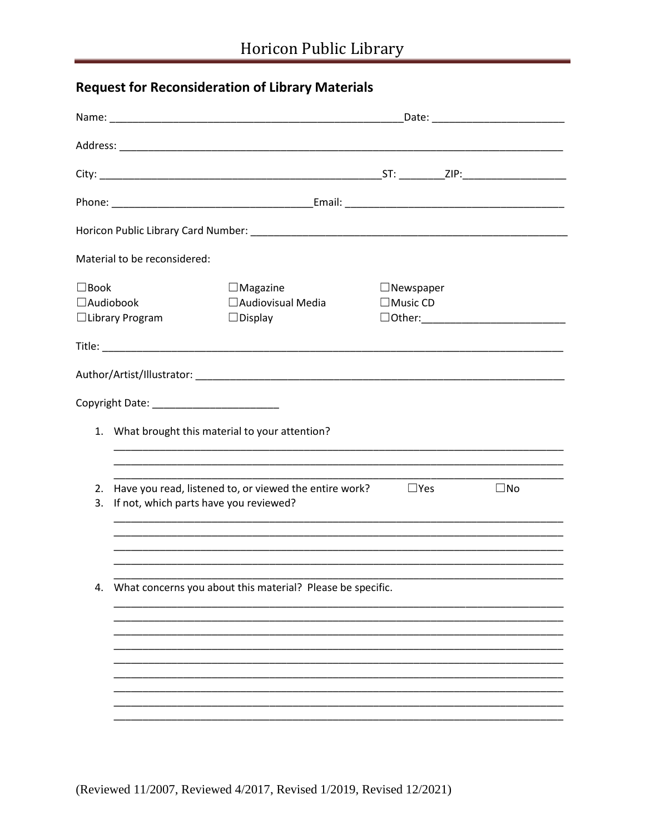## **Request for Reconsideration of Library Materials**

| $\Box$ Magazine<br>□ Audiovisual Media<br>$\Box$ Display                                         | $\Box$ Music CD |                                                            |                  |
|--------------------------------------------------------------------------------------------------|-----------------|------------------------------------------------------------|------------------|
|                                                                                                  |                 |                                                            |                  |
|                                                                                                  |                 |                                                            |                  |
|                                                                                                  |                 |                                                            |                  |
| 1. What brought this material to your attention?                                                 |                 |                                                            |                  |
|                                                                                                  |                 |                                                            |                  |
| Have you read, listened to, or viewed the entire work?<br>If not, which parts have you reviewed? | $\square$ Yes   |                                                            | $\Box$ No        |
|                                                                                                  |                 |                                                            |                  |
|                                                                                                  |                 |                                                            |                  |
|                                                                                                  |                 |                                                            |                  |
|                                                                                                  |                 |                                                            |                  |
|                                                                                                  |                 |                                                            |                  |
|                                                                                                  |                 |                                                            |                  |
|                                                                                                  |                 | What concerns you about this material? Please be specific. | $\Box$ Newspaper |